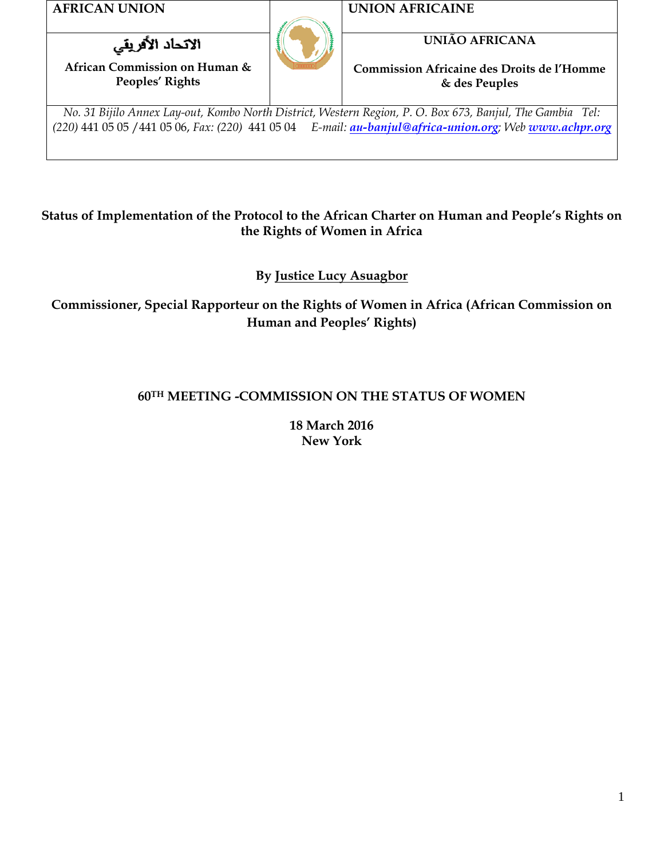**AFRICAN UNION UNION AFRICAINE**

الاتحاد الأفريقي

**African Commission on Human & Peoples' Rights**



**UNIÃO AFRICANA**

**Commission Africaine des Droits de l'Homme & des Peuples**

*No. 31 Bijilo Annex Lay-out, Kombo North District, Western Region, P. O. Box 673, Banjul, The Gambia Tel: (220)* 441 05 05 /441 05 06, *Fax: (220)* 441 05 04 *E-mail: [au-banjul@africa-union.org](mailto:au-banjul@africa-union.org); Web [www.achpr.org](http://www.achpr.org/)*

#### **Status of Implementation of the Protocol to the African Charter on Human and People's Rights on the Rights of Women in Africa**

**By Justice Lucy Asuagbor**

**Commissioner, Special Rapporteur on the Rights of Women in Africa (African Commission on Human and Peoples' Rights)**

# **60TH MEETING -COMMISSION ON THE STATUS OF WOMEN**

**18 March 2016 New York**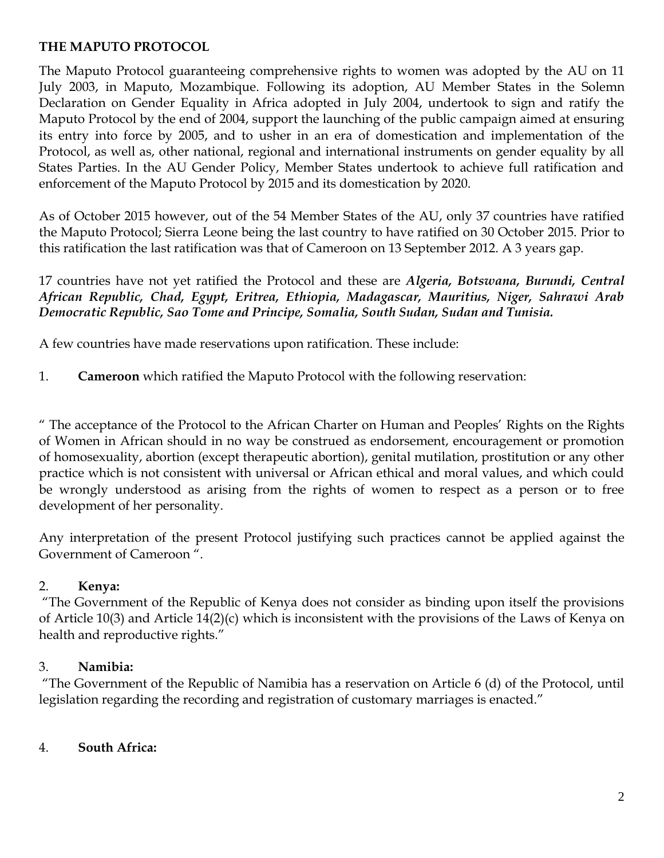#### **THE MAPUTO PROTOCOL**

The Maputo Protocol guaranteeing comprehensive rights to women was adopted by the AU on 11 July 2003, in Maputo, Mozambique. Following its adoption, AU Member States in the Solemn Declaration on Gender Equality in Africa adopted in July 2004, undertook to sign and ratify the Maputo Protocol by the end of 2004, support the launching of the public campaign aimed at ensuring its entry into force by 2005, and to usher in an era of domestication and implementation of the Protocol, as well as, other national, regional and international instruments on gender equality by all States Parties. In the AU Gender Policy, Member States undertook to achieve full ratification and enforcement of the Maputo Protocol by 2015 and its domestication by 2020.

As of October 2015 however, out of the 54 Member States of the AU, only 37 countries have ratified the Maputo Protocol; Sierra Leone being the last country to have ratified on 30 October 2015. Prior to this ratification the last ratification was that of Cameroon on 13 September 2012. A 3 years gap.

17 countries have not yet ratified the Protocol and these are *Algeria, Botswana, Burundi, Central African Republic, Chad, Egypt, Eritrea, Ethiopia, Madagascar, Mauritius, Niger, Sahrawi Arab Democratic Republic, Sao Tome and Principe, Somalia, South Sudan, Sudan and Tunisia.* 

A few countries have made reservations upon ratification. These include:

1. **Cameroon** which ratified the Maputo Protocol with the following reservation:

" The acceptance of the Protocol to the African Charter on Human and Peoples' Rights on the Rights of Women in African should in no way be construed as endorsement, encouragement or promotion of homosexuality, abortion (except therapeutic abortion), genital mutilation, prostitution or any other practice which is not consistent with universal or African ethical and moral values, and which could be wrongly understood as arising from the rights of women to respect as a person or to free development of her personality.

Any interpretation of the present Protocol justifying such practices cannot be applied against the Government of Cameroon ".

#### 2. **Kenya:**

"The Government of the Republic of Kenya does not consider as binding upon itself the provisions of Article 10(3) and Article 14(2)(c) which is inconsistent with the provisions of the Laws of Kenya on health and reproductive rights."

#### 3. **Namibia:**

"The Government of the Republic of Namibia has a reservation on Article 6 (d) of the Protocol, until legislation regarding the recording and registration of customary marriages is enacted."

#### 4. **South Africa:**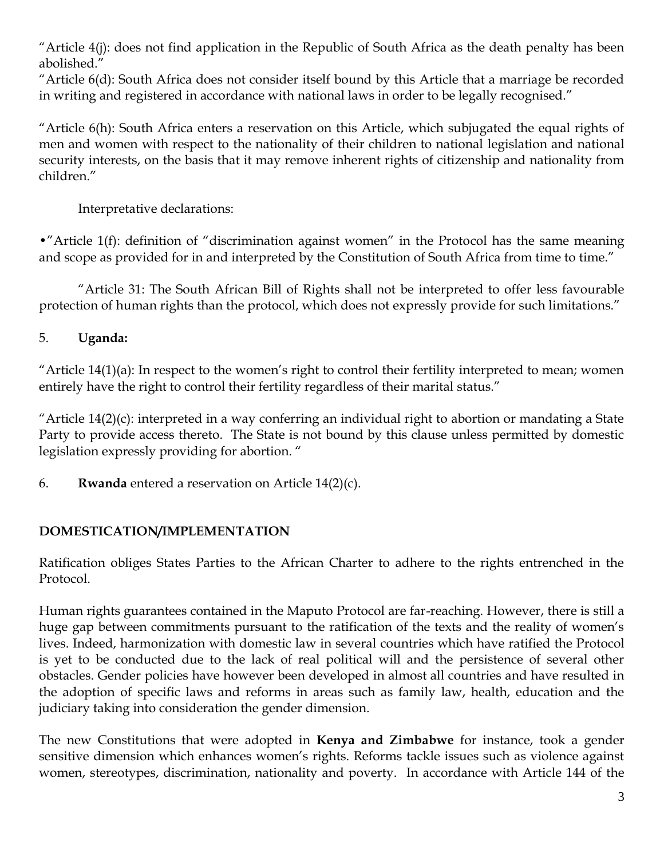"Article 4(j): does not find application in the Republic of South Africa as the death penalty has been abolished."

"Article 6(d): South Africa does not consider itself bound by this Article that a marriage be recorded in writing and registered in accordance with national laws in order to be legally recognised."

"Article 6(h): South Africa enters a reservation on this Article, which subjugated the equal rights of men and women with respect to the nationality of their children to national legislation and national security interests, on the basis that it may remove inherent rights of citizenship and nationality from children."

Interpretative declarations:

•"Article 1(f): definition of "discrimination against women" in the Protocol has the same meaning and scope as provided for in and interpreted by the Constitution of South Africa from time to time."

"Article 31: The South African Bill of Rights shall not be interpreted to offer less favourable protection of human rights than the protocol, which does not expressly provide for such limitations."

# 5. **Uganda:**

"Article  $14(1)(a)$ : In respect to the women's right to control their fertility interpreted to mean; women entirely have the right to control their fertility regardless of their marital status."

"Article  $14(2)(c)$ : interpreted in a way conferring an individual right to abortion or mandating a State Party to provide access thereto. The State is not bound by this clause unless permitted by domestic legislation expressly providing for abortion. "

6. **Rwanda** entered a reservation on Article 14(2)(c).

# **DOMESTICATION/IMPLEMENTATION**

Ratification obliges States Parties to the African Charter to adhere to the rights entrenched in the Protocol.

Human rights guarantees contained in the Maputo Protocol are far-reaching. However, there is still a huge gap between commitments pursuant to the ratification of the texts and the reality of women's lives. Indeed, harmonization with domestic law in several countries which have ratified the Protocol is yet to be conducted due to the lack of real political will and the persistence of several other obstacles. Gender policies have however been developed in almost all countries and have resulted in the adoption of specific laws and reforms in areas such as family law, health, education and the judiciary taking into consideration the gender dimension.

The new Constitutions that were adopted in **Kenya and Zimbabwe** for instance, took a gender sensitive dimension which enhances women's rights. Reforms tackle issues such as violence against women, stereotypes, discrimination, nationality and poverty. In accordance with Article 144 of the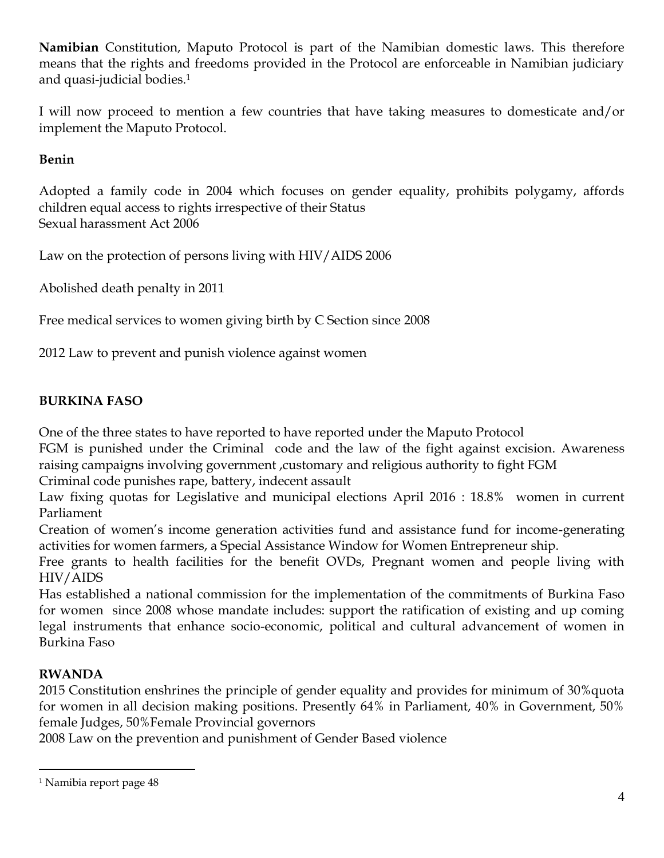**Namibian** Constitution, Maputo Protocol is part of the Namibian domestic laws. This therefore means that the rights and freedoms provided in the Protocol are enforceable in Namibian judiciary and quasi-judicial bodies.<sup>1</sup>

I will now proceed to mention a few countries that have taking measures to domesticate and/or implement the Maputo Protocol.

## **Benin**

Adopted a family code in 2004 which focuses on gender equality, prohibits polygamy, affords children equal access to rights irrespective of their Status Sexual harassment Act 2006

Law on the protection of persons living with HIV/AIDS 2006

Abolished death penalty in 2011

Free medical services to women giving birth by C Section since 2008

2012 Law to prevent and punish violence against women

## **BURKINA FASO**

One of the three states to have reported to have reported under the Maputo Protocol

FGM is punished under the Criminal code and the law of the fight against excision. Awareness raising campaigns involving government ,customary and religious authority to fight FGM

Criminal code punishes rape, battery, indecent assault

Law fixing quotas for Legislative and municipal elections April 2016 : 18.8% women in current Parliament

Creation of women's income generation activities fund and assistance fund for income-generating activities for women farmers, a Special Assistance Window for Women Entrepreneur ship.

Free grants to health facilities for the benefit OVDs, Pregnant women and people living with HIV/AIDS

Has established a national commission for the implementation of the commitments of Burkina Faso for women since 2008 whose mandate includes: support the ratification of existing and up coming legal instruments that enhance socio-economic, political and cultural advancement of women in Burkina Faso

# **RWANDA**

 $\overline{a}$ 

2015 Constitution enshrines the principle of gender equality and provides for minimum of 30%quota for women in all decision making positions. Presently 64% in Parliament, 40% in Government, 50% female Judges, 50%Female Provincial governors

2008 Law on the prevention and punishment of Gender Based violence

<sup>1</sup> Namibia report page 48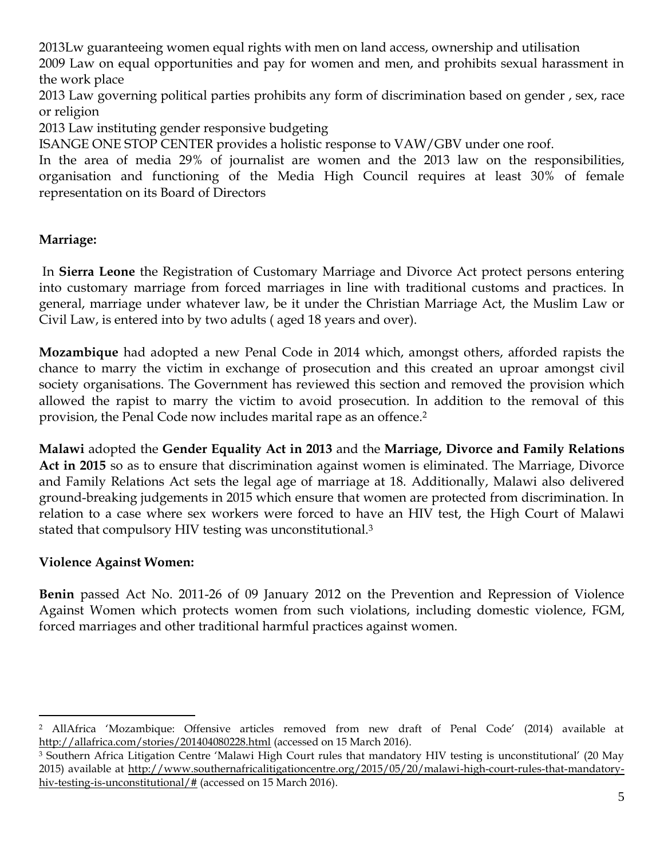2013Lw guaranteeing women equal rights with men on land access, ownership and utilisation

2009 Law on equal opportunities and pay for women and men, and prohibits sexual harassment in the work place

2013 Law governing political parties prohibits any form of discrimination based on gender , sex, race or religion

2013 Law instituting gender responsive budgeting

ISANGE ONE STOP CENTER provides a holistic response to VAW/GBV under one roof.

In the area of media 29% of journalist are women and the 2013 law on the responsibilities, organisation and functioning of the Media High Council requires at least 30% of female representation on its Board of Directors

## **Marriage:**

In **Sierra Leone** the Registration of Customary Marriage and Divorce Act protect persons entering into customary marriage from forced marriages in line with traditional customs and practices. In general, marriage under whatever law, be it under the Christian Marriage Act, the Muslim Law or Civil Law, is entered into by two adults ( aged 18 years and over).

**Mozambique** had adopted a new Penal Code in 2014 which, amongst others, afforded rapists the chance to marry the victim in exchange of prosecution and this created an uproar amongst civil society organisations. The Government has reviewed this section and removed the provision which allowed the rapist to marry the victim to avoid prosecution. In addition to the removal of this provision, the Penal Code now includes marital rape as an offence.<sup>2</sup>

**Malawi** adopted the **Gender Equality Act in 2013** and the **Marriage, Divorce and Family Relations Act in 2015** so as to ensure that discrimination against women is eliminated. The Marriage, Divorce and Family Relations Act sets the legal age of marriage at 18. Additionally, Malawi also delivered ground-breaking judgements in 2015 which ensure that women are protected from discrimination. In relation to a case where sex workers were forced to have an HIV test, the High Court of Malawi stated that compulsory HIV testing was unconstitutional.<sup>3</sup>

#### **Violence Against Women:**

 $\overline{a}$ 

**Benin** passed Act No. 2011-26 of 09 January 2012 on the Prevention and Repression of Violence Against Women which protects women from such violations, including domestic violence, FGM, forced marriages and other traditional harmful practices against women.

<sup>2</sup> AllAfrica 'Mozambique: Offensive articles removed from new draft of Penal Code' (2014) available at <http://allafrica.com/stories/201404080228.html> (accessed on 15 March 2016).

<sup>3</sup> Southern Africa Litigation Centre 'Malawi High Court rules that mandatory HIV testing is unconstitutional' (20 May 2015) available at [http://www.southernafricalitigationcentre.org/2015/05/20/malawi-high-court-rules-that-mandatory](http://www.southernafricalitigationcentre.org/2015/05/20/malawi-high-court-rules-that-mandatory-hiv-testing-is-unconstitutional/)[hiv-testing-is-unconstitutional/#](http://www.southernafricalitigationcentre.org/2015/05/20/malawi-high-court-rules-that-mandatory-hiv-testing-is-unconstitutional/) (accessed on 15 March 2016).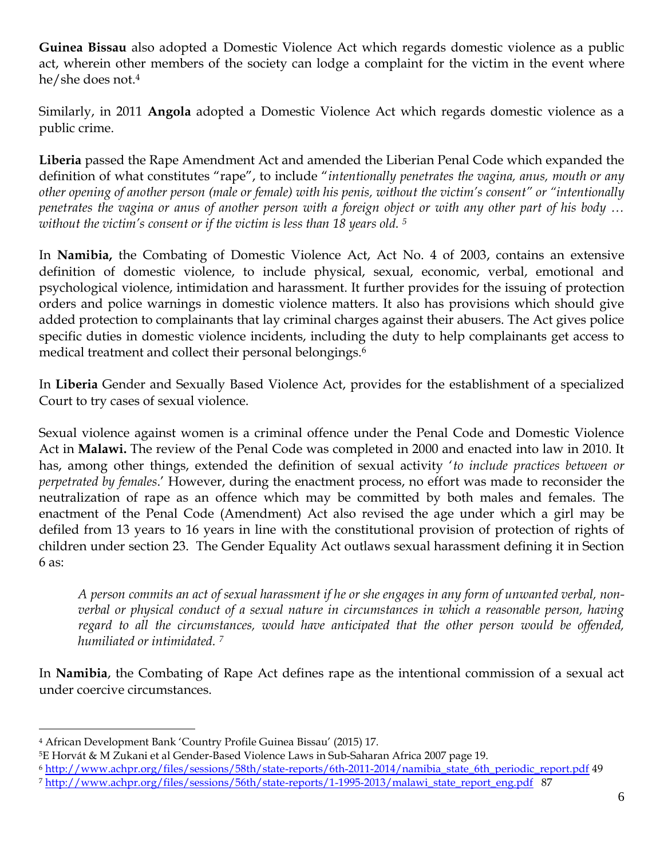**Guinea Bissau** also adopted a Domestic Violence Act which regards domestic violence as a public act, wherein other members of the society can lodge a complaint for the victim in the event where he/she does not. 4

Similarly, in 2011 **Angola** adopted a Domestic Violence Act which regards domestic violence as a public crime.

**Liberia** passed the Rape Amendment Act and amended the Liberian Penal Code which expanded the definition of what constitutes "rape", to include "*intentionally penetrates the vagina, anus, mouth or any other opening of another person (male or female) with his penis, without the victim's consent" or "intentionally penetrates the vagina or anus of another person with a foreign object or with any other part of his body … without the victim's consent or if the victim is less than 18 years old. <sup>5</sup>*

In **Namibia,** the Combating of Domestic Violence Act, Act No. 4 of 2003, contains an extensive definition of domestic violence, to include physical, sexual, economic, verbal, emotional and psychological violence, intimidation and harassment. It further provides for the issuing of protection orders and police warnings in domestic violence matters. It also has provisions which should give added protection to complainants that lay criminal charges against their abusers. The Act gives police specific duties in domestic violence incidents, including the duty to help complainants get access to medical treatment and collect their personal belongings.<sup>6</sup>

In **Liberia** Gender and Sexually Based Violence Act, provides for the establishment of a specialized Court to try cases of sexual violence.

Sexual violence against women is a criminal offence under the Penal Code and Domestic Violence Act in **Malawi.** The review of the Penal Code was completed in 2000 and enacted into law in 2010. It has, among other things, extended the definition of sexual activity '*to include practices between or perpetrated by females*.' However, during the enactment process, no effort was made to reconsider the neutralization of rape as an offence which may be committed by both males and females. The enactment of the Penal Code (Amendment) Act also revised the age under which a girl may be defiled from 13 years to 16 years in line with the constitutional provision of protection of rights of children under section 23. The Gender Equality Act outlaws sexual harassment defining it in Section 6 as:

*A person commits an act of sexual harassment if he or she engages in any form of unwanted verbal, nonverbal or physical conduct of a sexual nature in circumstances in which a reasonable person, having regard to all the circumstances, would have anticipated that the other person would be offended, humiliated or intimidated. <sup>7</sup>*

In **Namibia**, the Combating of Rape Act defines rape as the intentional commission of a sexual act under coercive circumstances.

 $\overline{a}$ 

<sup>4</sup> African Development Bank 'Country Profile Guinea Bissau' (2015) 17.

<sup>5</sup>E Horvát & M Zukani et al Gender-Based Violence Laws in Sub-Saharan Africa 2007 page 19.

<sup>6</sup> [http://www.achpr.org/files/sessions/58th/state-reports/6th-2011-2014/namibia\\_state\\_6th\\_periodic\\_report.pdf](http://www.achpr.org/files/sessions/58th/state-reports/6th-2011-2014/namibia_state_6th_periodic_report.pdf) 49 <sup>7</sup> [http://www.achpr.org/files/sessions/56th/state-reports/1-1995-2013/malawi\\_state\\_report\\_eng.pdf](http://www.achpr.org/files/sessions/56th/state-reports/1-1995-2013/malawi_state_report_eng.pdf) 87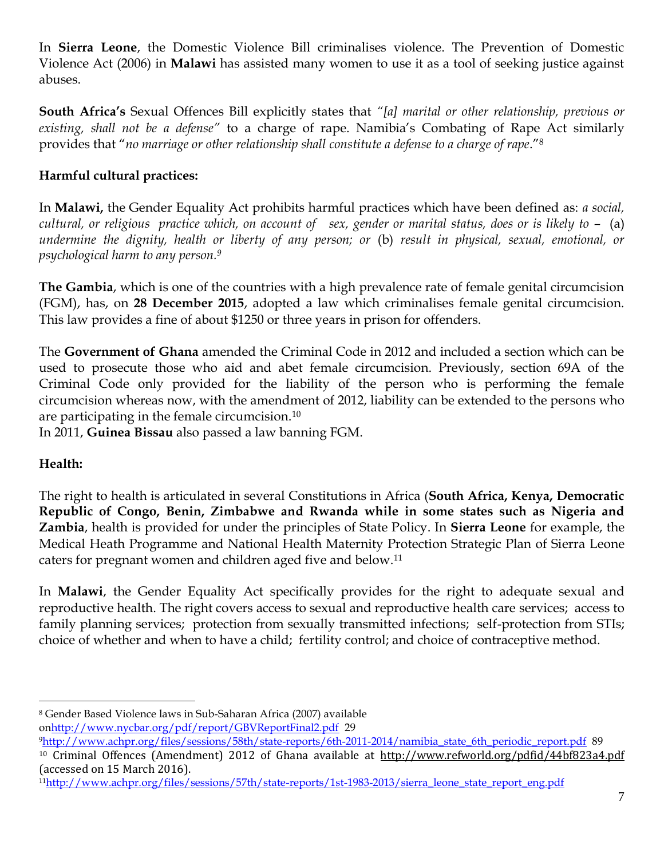In **Sierra Leone**, the Domestic Violence Bill criminalises violence. The Prevention of Domestic Violence Act (2006) in **Malawi** has assisted many women to use it as a tool of seeking justice against abuses.

**South Africa's** Sexual Offences Bill explicitly states that *"[a] marital or other relationship, previous or existing, shall not be a defense"* to a charge of rape. Namibia's Combating of Rape Act similarly provides that "*no marriage or other relationship shall constitute a defense to a charge of rape*."<sup>8</sup>

## **Harmful cultural practices:**

In **Malawi,** the Gender Equality Act prohibits harmful practices which have been defined as: *a social, cultural, or religious practice which, on account of sex, gender or marital status, does or is likely to –* (a) *undermine the dignity, health or liberty of any person; or* (b) *result in physical, sexual, emotional, or psychological harm to any person.<sup>9</sup>*

**The Gambia**, which is one of the countries with a high prevalence rate of female genital circumcision (FGM), has, on **28 December 2015**, adopted a law which criminalises female genital circumcision. This law provides a fine of about \$1250 or three years in prison for offenders.

The **Government of Ghana** amended the Criminal Code in 2012 and included a section which can be used to prosecute those who aid and abet female circumcision. Previously, section 69A of the Criminal Code only provided for the liability of the person who is performing the female circumcision whereas now, with the amendment of 2012, liability can be extended to the persons who are participating in the female circumcision.<sup>10</sup>

In 2011, **Guinea Bissau** also passed a law banning FGM.

# **Health:**

The right to health is articulated in several Constitutions in Africa (**South Africa, Kenya, Democratic Republic of Congo, Benin, Zimbabwe and Rwanda while in some states such as Nigeria and Zambia**, health is provided for under the principles of State Policy. In **Sierra Leone** for example, the Medical Heath Programme and National Health Maternity Protection Strategic Plan of Sierra Leone caters for pregnant women and children aged five and below.<sup>11</sup>

In **Malawi**, the Gender Equality Act specifically provides for the right to adequate sexual and reproductive health. The right covers access to sexual and reproductive health care services; access to family planning services; protection from sexually transmitted infections; self-protection from STIs; choice of whether and when to have a child; fertility control; and choice of contraceptive method.

o[nhttp://www.nycbar.org/pdf/report/GBVReportFinal2.pdf](http://www.nycbar.org/pdf/report/GBVReportFinal2.pdf) 29

 $\overline{a}$ <sup>8</sup> Gender Based Violence laws in Sub-Saharan Africa (2007) available

<sup>9</sup>[http://www.achpr.org/files/sessions/58th/state-reports/6th-2011-2014/namibia\\_state\\_6th\\_periodic\\_report.pdf](http://www.achpr.org/files/sessions/58th/state-reports/6th-2011-2014/namibia_state_6th_periodic_report.pdf) 89 <sup>10</sup> Criminal Offences (Amendment) 2012 of Ghana available at <http://www.refworld.org/pdfid/44bf823a4.pdf> (accessed on 15 March 2016).

<sup>11</sup>[http://www.achpr.org/files/sessions/57th/state-reports/1st-1983-2013/sierra\\_leone\\_state\\_report\\_eng.pdf](http://www.achpr.org/files/sessions/57th/state-reports/1st-1983-2013/sierra_leone_state_report_eng.pdf)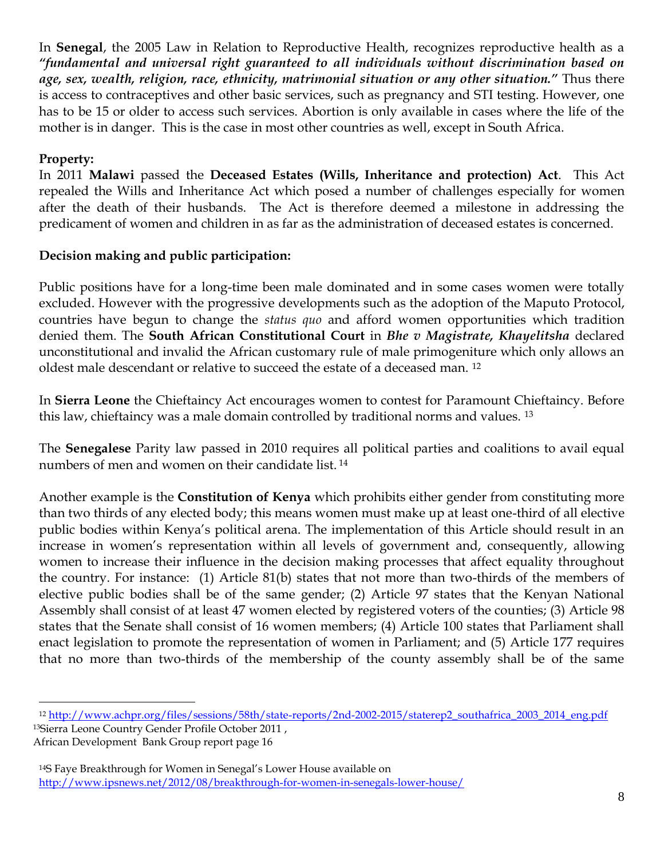In **Senegal**, the 2005 Law in Relation to Reproductive Health, recognizes reproductive health as a *"fundamental and universal right guaranteed to all individuals without discrimination based on age, sex, wealth, religion, race, ethnicity, matrimonial situation or any other situation."* Thus there is access to contraceptives and other basic services, such as pregnancy and STI testing. However, one has to be 15 or older to access such services. Abortion is only available in cases where the life of the mother is in danger. This is the case in most other countries as well, except in South Africa.

#### **Property:**

 $\overline{a}$ 

In 2011 **Malawi** passed the **Deceased Estates (Wills, Inheritance and protection) Act**. This Act repealed the Wills and Inheritance Act which posed a number of challenges especially for women after the death of their husbands. The Act is therefore deemed a milestone in addressing the predicament of women and children in as far as the administration of deceased estates is concerned.

#### **Decision making and public participation:**

Public positions have for a long-time been male dominated and in some cases women were totally excluded. However with the progressive developments such as the adoption of the Maputo Protocol, countries have begun to change the *status quo* and afford women opportunities which tradition denied them. The **South African Constitutional Court** in *Bhe v Magistrate, Khayelitsha* declared unconstitutional and invalid the African customary rule of male primogeniture which only allows an oldest male descendant or relative to succeed the estate of a deceased man. <sup>12</sup>

In **Sierra Leone** the Chieftaincy Act encourages women to contest for Paramount Chieftaincy. Before this law, chieftaincy was a male domain controlled by traditional norms and values. <sup>13</sup>

The **Senegalese** Parity law passed in 2010 requires all political parties and coalitions to avail equal numbers of men and women on their candidate list. <sup>14</sup>

Another example is the **Constitution of Kenya** which prohibits either gender from constituting more than two thirds of any elected body; this means women must make up at least one-third of all elective public bodies within Kenya's political arena. The implementation of this Article should result in an increase in women's representation within all levels of government and, consequently, allowing women to increase their influence in the decision making processes that affect equality throughout the country. For instance: (1) Article 81(b) states that not more than two-thirds of the members of elective public bodies shall be of the same gender; (2) Article 97 states that the Kenyan National Assembly shall consist of at least 47 women elected by registered voters of the counties; (3) Article 98 states that the Senate shall consist of 16 women members; (4) Article 100 states that Parliament shall enact legislation to promote the representation of women in Parliament; and (5) Article 177 requires that no more than two-thirds of the membership of the county assembly shall be of the same

<sup>12</sup> [http://www.achpr.org/files/sessions/58th/state-reports/2nd-2002-2015/staterep2\\_southafrica\\_2003\\_2014\\_eng.pdf](http://www.achpr.org/files/sessions/58th/state-reports/2nd-2002-2015/staterep2_southafrica_2003_2014_eng.pdf) <sup>13</sup>Sierra Leone Country Gender Profile October 2011 , African Development Bank Group report page 16

<sup>&</sup>lt;sup>14</sup>S Faye Breakthrough for Women in Senegal's Lower House available on <http://www.ipsnews.net/2012/08/breakthrough-for-women-in-senegals-lower-house/>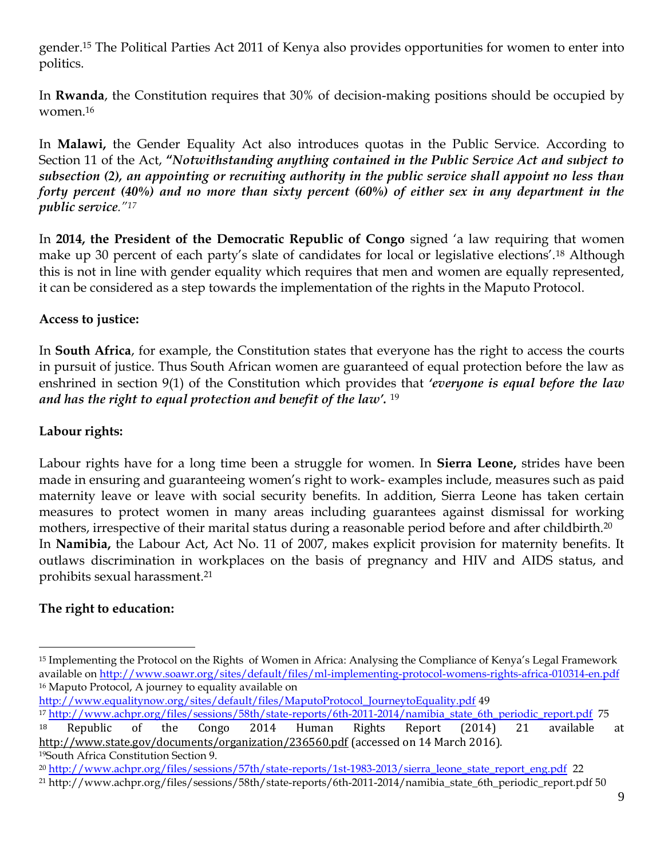gender.<sup>15</sup> The Political Parties Act 2011 of Kenya also provides opportunities for women to enter into politics.

In **Rwanda**, the Constitution requires that 30% of decision-making positions should be occupied by women.<sup>16</sup>

In **Malawi,** the Gender Equality Act also introduces quotas in the Public Service. According to Section 11 of the Act, **"***Notwithstanding anything contained in the Public Service Act and subject to subsection (2), an appointing or recruiting authority in the public service shall appoint no less than forty percent (40%) and no more than sixty percent (60%) of either sex in any department in the public service."<sup>17</sup>*

In **2014, the President of the Democratic Republic of Congo** signed 'a law requiring that women make up 30 percent of each party's slate of candidates for local or legislative elections'.<sup>18</sup> Although this is not in line with gender equality which requires that men and women are equally represented, it can be considered as a step towards the implementation of the rights in the Maputo Protocol.

## **Access to justice:**

In **South Africa**, for example, the Constitution states that everyone has the right to access the courts in pursuit of justice. Thus South African women are guaranteed of equal protection before the law as enshrined in section 9(1) of the Constitution which provides that *'everyone is equal before the law and has the right to equal protection and benefit of the law'.* <sup>19</sup>

#### **Labour rights:**

Labour rights have for a long time been a struggle for women. In **Sierra Leone,** strides have been made in ensuring and guaranteeing women's right to work- examples include, measures such as paid maternity leave or leave with social security benefits. In addition, Sierra Leone has taken certain measures to protect women in many areas including guarantees against dismissal for working mothers, irrespective of their marital status during a reasonable period before and after childbirth.<sup>20</sup> In **Namibia,** the Labour Act, Act No. 11 of 2007, makes explicit provision for maternity benefits. It outlaws discrimination in workplaces on the basis of pregnancy and HIV and AIDS status, and prohibits sexual harassment.<sup>21</sup>

## **The right to education:**

 $\overline{a}$ 

[http://www.equalitynow.org/sites/default/files/MaputoProtocol\\_JourneytoEquality.pdf](http://www.equalitynow.org/sites/default/files/MaputoProtocol_JourneytoEquality.pdf) 49

<sup>15</sup> Implementing the Protocol on the Rights of Women in Africa: Analysing the Compliance of Kenya's Legal Framework available on<http://www.soawr.org/sites/default/files/ml-implementing-protocol-womens-rights-africa-010314-en.pdf> <sup>16</sup> Maputo Protocol, A journey to equality available on

<sup>17</sup> [http://www.achpr.org/files/sessions/58th/state-reports/6th-2011-2014/namibia\\_state\\_6th\\_periodic\\_report.pdf](http://www.achpr.org/files/sessions/58th/state-reports/6th-2011-2014/namibia_state_6th_periodic_report.pdf) 75 <sup>18</sup> Republic of the Congo 2014 Human Rights Report (2014) 21 available at <http://www.state.gov/documents/organization/236560.pdf> (accessed on 14 March 2016). <sup>19</sup>South Africa Constitution Section 9.

<sup>&</sup>lt;sup>20</sup> [http://www.achpr.org/files/sessions/57th/state-reports/1st-1983-2013/sierra\\_leone\\_state\\_report\\_eng.pdf](http://www.achpr.org/files/sessions/57th/state-reports/1st-1983-2013/sierra_leone_state_report_eng.pdf) 22 <sup>21</sup> http://www.achpr.org/files/sessions/58th/state-reports/6th-2011-2014/namibia\_state\_6th\_periodic\_report.pdf 50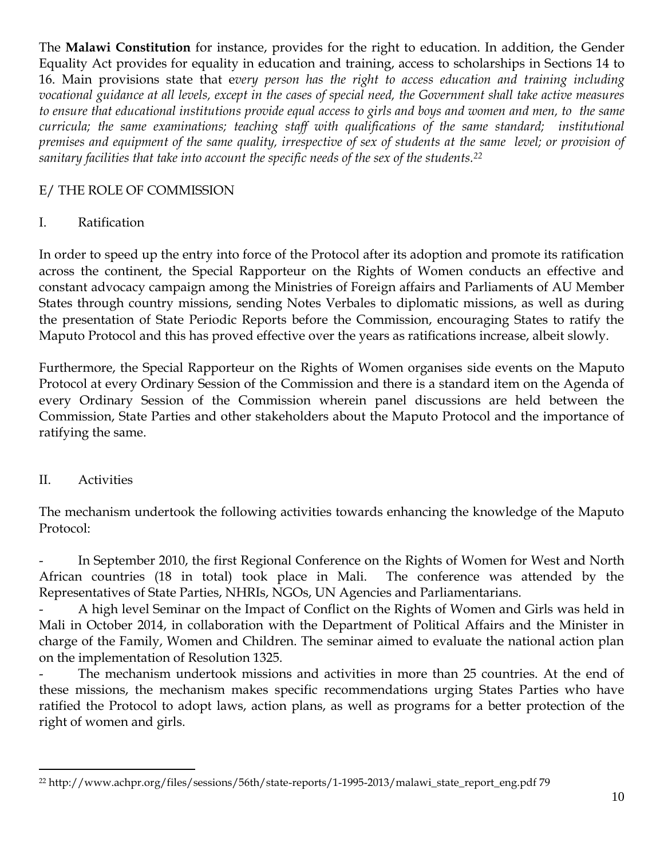The **Malawi Constitution** for instance, provides for the right to education. In addition, the Gender Equality Act provides for equality in education and training, access to scholarships in Sections 14 to 16. Main provisions state that e*very person has the right to access education and training including vocational guidance at all levels, except in the cases of special need, the Government shall take active measures to ensure that educational institutions provide equal access to girls and boys and women and men, to the same curricula; the same examinations; teaching staff with qualifications of the same standard; institutional premises and equipment of the same quality, irrespective of sex of students at the same level; or provision of sanitary facilities that take into account the specific needs of the sex of the students.<sup>22</sup>* 

#### E/ THE ROLE OF COMMISSION

#### I. Ratification

In order to speed up the entry into force of the Protocol after its adoption and promote its ratification across the continent, the Special Rapporteur on the Rights of Women conducts an effective and constant advocacy campaign among the Ministries of Foreign affairs and Parliaments of AU Member States through country missions, sending Notes Verbales to diplomatic missions, as well as during the presentation of State Periodic Reports before the Commission, encouraging States to ratify the Maputo Protocol and this has proved effective over the years as ratifications increase, albeit slowly.

Furthermore, the Special Rapporteur on the Rights of Women organises side events on the Maputo Protocol at every Ordinary Session of the Commission and there is a standard item on the Agenda of every Ordinary Session of the Commission wherein panel discussions are held between the Commission, State Parties and other stakeholders about the Maputo Protocol and the importance of ratifying the same.

## II. Activities

 $\overline{a}$ 

The mechanism undertook the following activities towards enhancing the knowledge of the Maputo Protocol:

In September 2010, the first Regional Conference on the Rights of Women for West and North African countries (18 in total) took place in Mali. The conference was attended by the Representatives of State Parties, NHRIs, NGOs, UN Agencies and Parliamentarians.

A high level Seminar on the Impact of Conflict on the Rights of Women and Girls was held in Mali in October 2014, in collaboration with the Department of Political Affairs and the Minister in charge of the Family, Women and Children. The seminar aimed to evaluate the national action plan on the implementation of Resolution 1325.

The mechanism undertook missions and activities in more than 25 countries. At the end of these missions, the mechanism makes specific recommendations urging States Parties who have ratified the Protocol to adopt laws, action plans, as well as programs for a better protection of the right of women and girls.

<sup>22</sup> http://www.achpr.org/files/sessions/56th/state-reports/1-1995-2013/malawi\_state\_report\_eng.pdf 79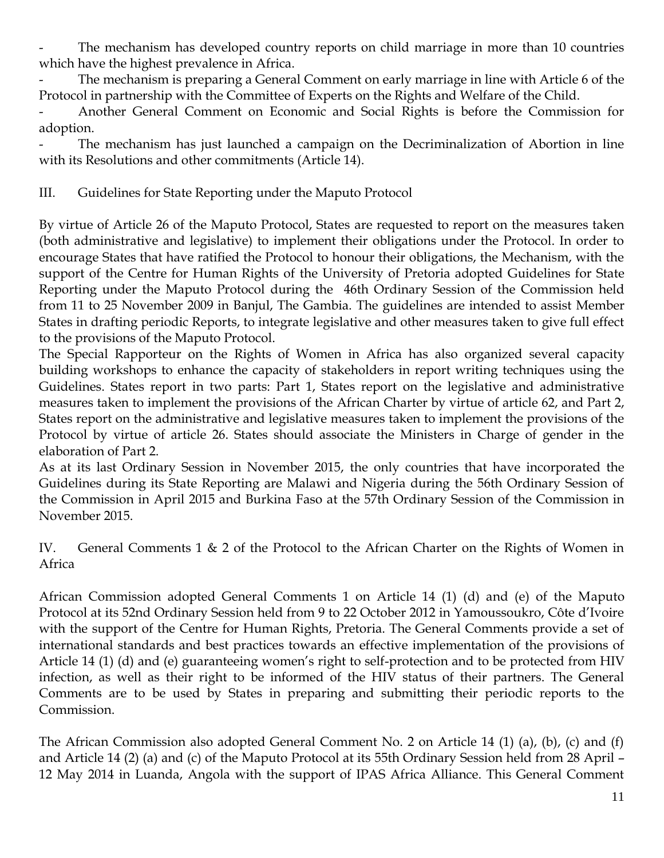The mechanism has developed country reports on child marriage in more than 10 countries which have the highest prevalence in Africa.

The mechanism is preparing a General Comment on early marriage in line with Article 6 of the Protocol in partnership with the Committee of Experts on the Rights and Welfare of the Child.

- Another General Comment on Economic and Social Rights is before the Commission for adoption.

The mechanism has just launched a campaign on the Decriminalization of Abortion in line with its Resolutions and other commitments (Article 14).

III. Guidelines for State Reporting under the Maputo Protocol

By virtue of Article 26 of the Maputo Protocol, States are requested to report on the measures taken (both administrative and legislative) to implement their obligations under the Protocol. In order to encourage States that have ratified the Protocol to honour their obligations, the Mechanism, with the support of the Centre for Human Rights of the University of Pretoria adopted Guidelines for State Reporting under the Maputo Protocol during the 46th Ordinary Session of the Commission held from 11 to 25 November 2009 in Banjul, The Gambia. The guidelines are intended to assist Member States in drafting periodic Reports, to integrate legislative and other measures taken to give full effect to the provisions of the Maputo Protocol.

The Special Rapporteur on the Rights of Women in Africa has also organized several capacity building workshops to enhance the capacity of stakeholders in report writing techniques using the Guidelines. States report in two parts: Part 1, States report on the legislative and administrative measures taken to implement the provisions of the African Charter by virtue of article 62, and Part 2, States report on the administrative and legislative measures taken to implement the provisions of the Protocol by virtue of article 26. States should associate the Ministers in Charge of gender in the elaboration of Part 2.

As at its last Ordinary Session in November 2015, the only countries that have incorporated the Guidelines during its State Reporting are Malawi and Nigeria during the 56th Ordinary Session of the Commission in April 2015 and Burkina Faso at the 57th Ordinary Session of the Commission in November 2015.

IV. General Comments 1 & 2 of the Protocol to the African Charter on the Rights of Women in Africa

African Commission adopted General Comments 1 on Article 14 (1) (d) and (e) of the Maputo Protocol at its 52nd Ordinary Session held from 9 to 22 October 2012 in Yamoussoukro, Côte d'Ivoire with the support of the Centre for Human Rights, Pretoria. The General Comments provide a set of international standards and best practices towards an effective implementation of the provisions of Article 14 (1) (d) and (e) guaranteeing women's right to self-protection and to be protected from HIV infection, as well as their right to be informed of the HIV status of their partners. The General Comments are to be used by States in preparing and submitting their periodic reports to the Commission.

The African Commission also adopted General Comment No. 2 on Article 14 (1) (a), (b), (c) and (f) and Article 14 (2) (a) and (c) of the Maputo Protocol at its 55th Ordinary Session held from 28 April – 12 May 2014 in Luanda, Angola with the support of IPAS Africa Alliance. This General Comment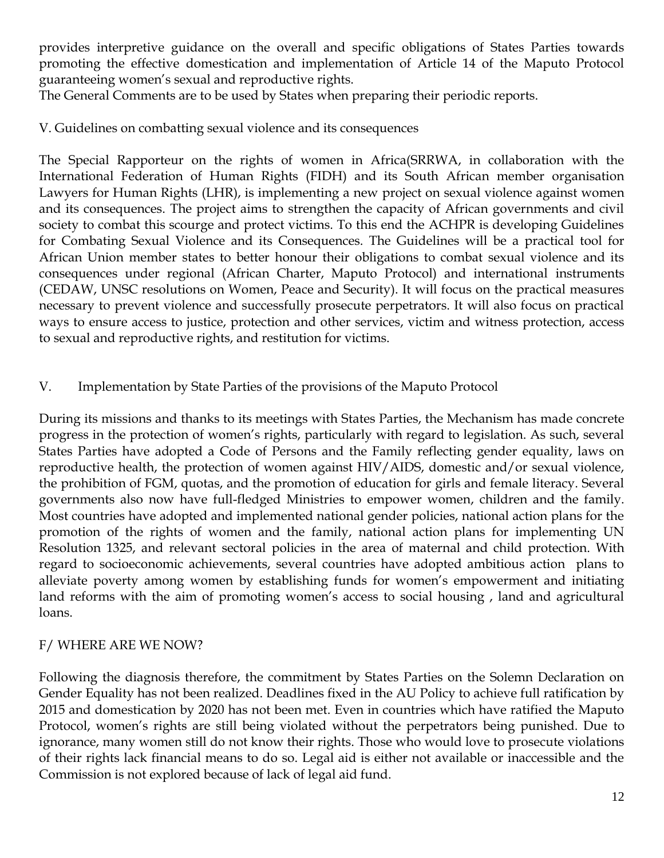provides interpretive guidance on the overall and specific obligations of States Parties towards promoting the effective domestication and implementation of Article 14 of the Maputo Protocol guaranteeing women's sexual and reproductive rights.

The General Comments are to be used by States when preparing their periodic reports.

V. Guidelines on combatting sexual violence and its consequences

The Special Rapporteur on the rights of women in Africa(SRRWA, in collaboration with the International Federation of Human Rights (FIDH) and its South African member organisation Lawyers for Human Rights (LHR), is implementing a new project on sexual violence against women and its consequences. The project aims to strengthen the capacity of African governments and civil society to combat this scourge and protect victims. To this end the ACHPR is developing Guidelines for Combating Sexual Violence and its Consequences. The Guidelines will be a practical tool for African Union member states to better honour their obligations to combat sexual violence and its consequences under regional (African Charter, Maputo Protocol) and international instruments (CEDAW, UNSC resolutions on Women, Peace and Security). It will focus on the practical measures necessary to prevent violence and successfully prosecute perpetrators. It will also focus on practical ways to ensure access to justice, protection and other services, victim and witness protection, access to sexual and reproductive rights, and restitution for victims.

#### V. Implementation by State Parties of the provisions of the Maputo Protocol

During its missions and thanks to its meetings with States Parties, the Mechanism has made concrete progress in the protection of women's rights, particularly with regard to legislation. As such, several States Parties have adopted a Code of Persons and the Family reflecting gender equality, laws on reproductive health, the protection of women against HIV/AIDS, domestic and/or sexual violence, the prohibition of FGM, quotas, and the promotion of education for girls and female literacy. Several governments also now have full-fledged Ministries to empower women, children and the family. Most countries have adopted and implemented national gender policies, national action plans for the promotion of the rights of women and the family, national action plans for implementing UN Resolution 1325, and relevant sectoral policies in the area of maternal and child protection. With regard to socioeconomic achievements, several countries have adopted ambitious action plans to alleviate poverty among women by establishing funds for women's empowerment and initiating land reforms with the aim of promoting women's access to social housing , land and agricultural loans.

#### F/ WHERE ARE WE NOW?

Following the diagnosis therefore, the commitment by States Parties on the Solemn Declaration on Gender Equality has not been realized. Deadlines fixed in the AU Policy to achieve full ratification by 2015 and domestication by 2020 has not been met. Even in countries which have ratified the Maputo Protocol, women's rights are still being violated without the perpetrators being punished. Due to ignorance, many women still do not know their rights. Those who would love to prosecute violations of their rights lack financial means to do so. Legal aid is either not available or inaccessible and the Commission is not explored because of lack of legal aid fund.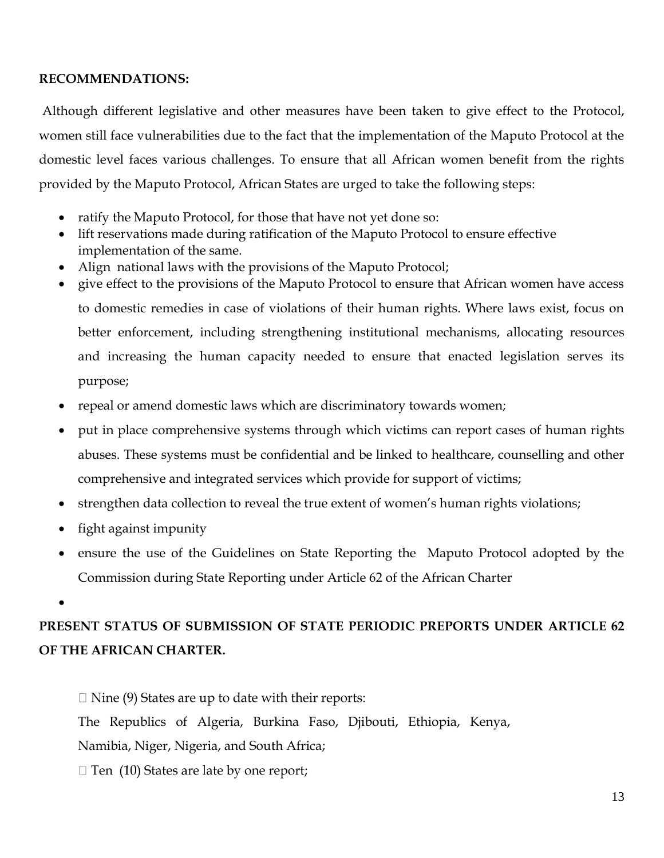#### **RECOMMENDATIONS:**

Although different legislative and other measures have been taken to give effect to the Protocol, women still face vulnerabilities due to the fact that the implementation of the Maputo Protocol at the domestic level faces various challenges. To ensure that all African women benefit from the rights provided by the Maputo Protocol, African States are urged to take the following steps:

- ratify the Maputo Protocol, for those that have not yet done so:
- lift reservations made during ratification of the Maputo Protocol to ensure effective implementation of the same.
- Align national laws with the provisions of the Maputo Protocol;
- give effect to the provisions of the Maputo Protocol to ensure that African women have access to domestic remedies in case of violations of their human rights. Where laws exist, focus on better enforcement, including strengthening institutional mechanisms, allocating resources and increasing the human capacity needed to ensure that enacted legislation serves its purpose;
- repeal or amend domestic laws which are discriminatory towards women;
- put in place comprehensive systems through which victims can report cases of human rights abuses. These systems must be confidential and be linked to healthcare, counselling and other comprehensive and integrated services which provide for support of victims;
- strengthen data collection to reveal the true extent of women's human rights violations;
- fight against impunity
- ensure the use of the Guidelines on State Reporting the Maputo Protocol adopted by the Commission during State Reporting under Article 62 of the African Charter
- $\bullet$

# **PRESENT STATUS OF SUBMISSION OF STATE PERIODIC PREPORTS UNDER ARTICLE 62 OF THE AFRICAN CHARTER.**

 $\Box$  Nine (9) States are up to date with their reports:

The Republics of Algeria, Burkina Faso, Djibouti, Ethiopia, Kenya,

Namibia, Niger, Nigeria, and South Africa;

 $\Box$  Ten (10) States are late by one report;